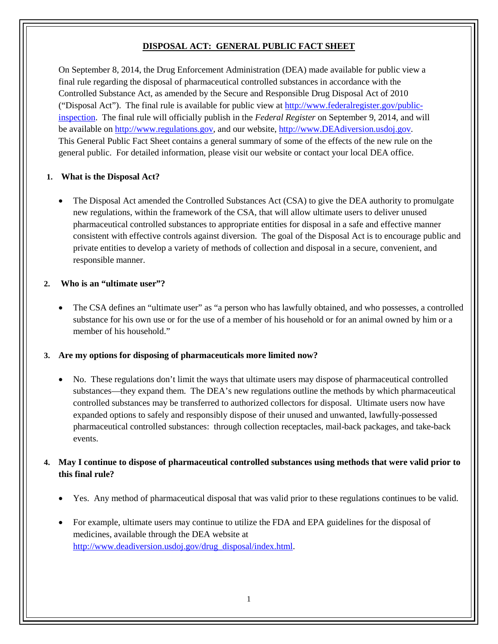## **DISPOSAL ACT: GENERAL PUBLIC FACT SHEET**

On September 8, 2014, the Drug Enforcement Administration (DEA) made available for public view a final rule regarding the disposal of pharmaceutical controlled substances in accordance with the Controlled Substance Act, as amended by the Secure and Responsible Drug Disposal Act of 2010 ("Disposal Act"). The final rule is available for public view at [http://www.federalregister.gov/public](http://www.federalregister.gov/public-inspection)[inspection.](http://www.federalregister.gov/public-inspection) The final rule will officially publish in the *Federal Register* on September 9, 2014, and will be available on [http://www.regulations.gov,](http://www.regulations.gov/) and our website, [http://www.DEAdiversion.usdoj.gov.](http://www.deadiversion.usdoj.gov/) This General Public Fact Sheet contains a general summary of some of the effects of the new rule on the general public. For detailed information, please visit our website or contact your local DEA office.

#### **1. What is the Disposal Act?**

• The Disposal Act amended the Controlled Substances Act (CSA) to give the DEA authority to promulgate new regulations, within the framework of the CSA, that will allow ultimate users to deliver unused pharmaceutical controlled substances to appropriate entities for disposal in a safe and effective manner consistent with effective controls against diversion. The goal of the Disposal Act is to encourage public and private entities to develop a variety of methods of collection and disposal in a secure, convenient, and responsible manner.

#### **2. Who is an "ultimate user"?**

The CSA defines an "ultimate user" as "a person who has lawfully obtained, and who possesses, a controlled substance for his own use or for the use of a member of his household or for an animal owned by him or a member of his household."

#### **3. Are my options for disposing of pharmaceuticals more limited now?**

• No. These regulations don't limit the ways that ultimate users may dispose of pharmaceutical controlled substances—they expand them. The DEA's new regulations outline the methods by which pharmaceutical controlled substances may be transferred to authorized collectors for disposal. Ultimate users now have expanded options to safely and responsibly dispose of their unused and unwanted, lawfully-possessed pharmaceutical controlled substances: through collection receptacles, mail-back packages, and take-back events.

### **4. May I continue to dispose of pharmaceutical controlled substances using methods that were valid prior to this final rule?**

- Yes. Any method of pharmaceutical disposal that was valid prior to these regulations continues to be valid.
- For example, ultimate users may continue to utilize the FDA and EPA guidelines for the disposal of medicines, available through the DEA website at [http://www.deadiversion.usdoj.gov/drug\\_disposal/index.html.](http://www.deadiversion.usdoj.gov/drug_disposal/index.html)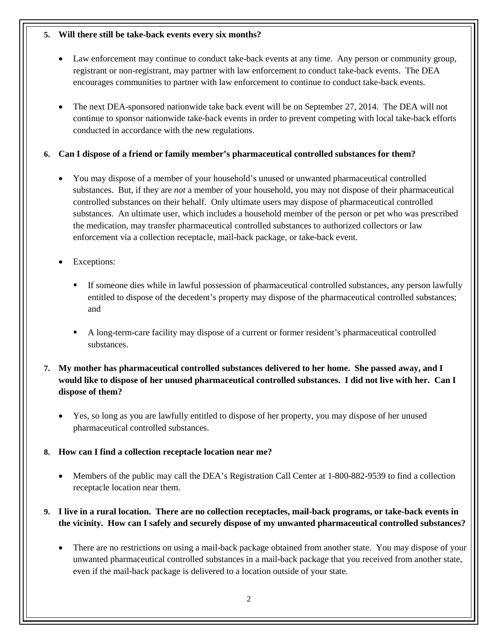#### **5. Will there still be take-back events every six months?**

- Law enforcement may continue to conduct take-back events at any time. Any person or community group, registrant or non-registrant, may partner with law enforcement to conduct take-back events. The DEA encourages communities to partner with law enforcement to continue to conduct take-back events.
- The next DEA-sponsored nationwide take back event will be on September 27, 2014. The DEA will not continue to sponsor nationwide take-back events in order to prevent competing with local take-back efforts conducted in accordance with the new regulations.

### **6. Can I dispose of a friend or family member's pharmaceutical controlled substances for them?**

- You may dispose of a member of your household's unused or unwanted pharmaceutical controlled substances. But, if they are *not* a member of your household, you may not dispose of their pharmaceutical controlled substances on their behalf. Only ultimate users may dispose of pharmaceutical controlled substances. An ultimate user, which includes a household member of the person or pet who was prescribed the medication, may transfer pharmaceutical controlled substances to authorized collectors or law enforcement via a collection receptacle, mail-back package, or take-back event.
- Exceptions:
	- If someone dies while in lawful possession of pharmaceutical controlled substances, any person lawfully entitled to dispose of the decedent's property may dispose of the pharmaceutical controlled substances; and
	- A long-term-care facility may dispose of a current or former resident's pharmaceutical controlled substances.
- **7. My mother has pharmaceutical controlled substances delivered to her home. She passed away, and I would like to dispose of her unused pharmaceutical controlled substances. I did not live with her. Can I dispose of them?**
	- Yes, so long as you are lawfully entitled to dispose of her property, you may dispose of her unused pharmaceutical controlled substances.

## **8. How can I find a collection receptacle location near me?**

• Members of the public may call the DEA's Registration Call Center at 1-800-882-9539 to find a collection receptacle location near them.

# **9. I live in a rural location. There are no collection receptacles, mail-back programs, or take-back events in the vicinity. How can I safely and securely dispose of my unwanted pharmaceutical controlled substances?**

• There are no restrictions on using a mail-back package obtained from another state. You may dispose of your unwanted pharmaceutical controlled substances in a mail-back package that you received from another state, even if the mail-back package is delivered to a location outside of your state.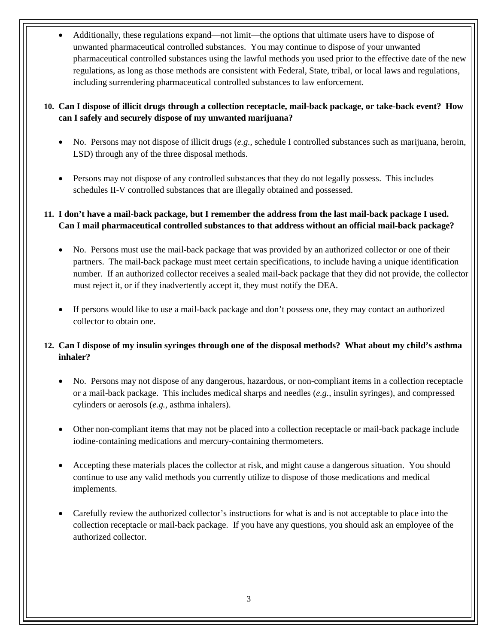• Additionally, these regulations expand—not limit—the options that ultimate users have to dispose of unwanted pharmaceutical controlled substances. You may continue to dispose of your unwanted pharmaceutical controlled substances using the lawful methods you used prior to the effective date of the new regulations, as long as those methods are consistent with Federal, State, tribal, or local laws and regulations, including surrendering pharmaceutical controlled substances to law enforcement.

### **10. Can I dispose of illicit drugs through a collection receptacle, mail-back package, or take-back event? How can I safely and securely dispose of my unwanted marijuana?**

- No. Persons may not dispose of illicit drugs (*e.g.*, schedule I controlled substances such as marijuana, heroin, LSD) through any of the three disposal methods.
- Persons may not dispose of any controlled substances that they do not legally possess. This includes schedules II-V controlled substances that are illegally obtained and possessed.

## **11. I don't have a mail-back package, but I remember the address from the last mail-back package I used. Can I mail pharmaceutical controlled substances to that address without an official mail-back package?**

- No. Persons must use the mail-back package that was provided by an authorized collector or one of their partners. The mail-back package must meet certain specifications, to include having a unique identification number. If an authorized collector receives a sealed mail-back package that they did not provide, the collector must reject it, or if they inadvertently accept it, they must notify the DEA.
- If persons would like to use a mail-back package and don't possess one, they may contact an authorized collector to obtain one.

# **12. Can I dispose of my insulin syringes through one of the disposal methods? What about my child's asthma inhaler?**

- No. Persons may not dispose of any dangerous, hazardous, or non-compliant items in a collection receptacle or a mail-back package. This includes medical sharps and needles (*e.g.*, insulin syringes), and compressed cylinders or aerosols (*e.g.*, asthma inhalers).
- Other non-compliant items that may not be placed into a collection receptacle or mail-back package include iodine-containing medications and mercury-containing thermometers.
- Accepting these materials places the collector at risk, and might cause a dangerous situation. You should continue to use any valid methods you currently utilize to dispose of those medications and medical implements.
- Carefully review the authorized collector's instructions for what is and is not acceptable to place into the collection receptacle or mail-back package. If you have any questions, you should ask an employee of the authorized collector.